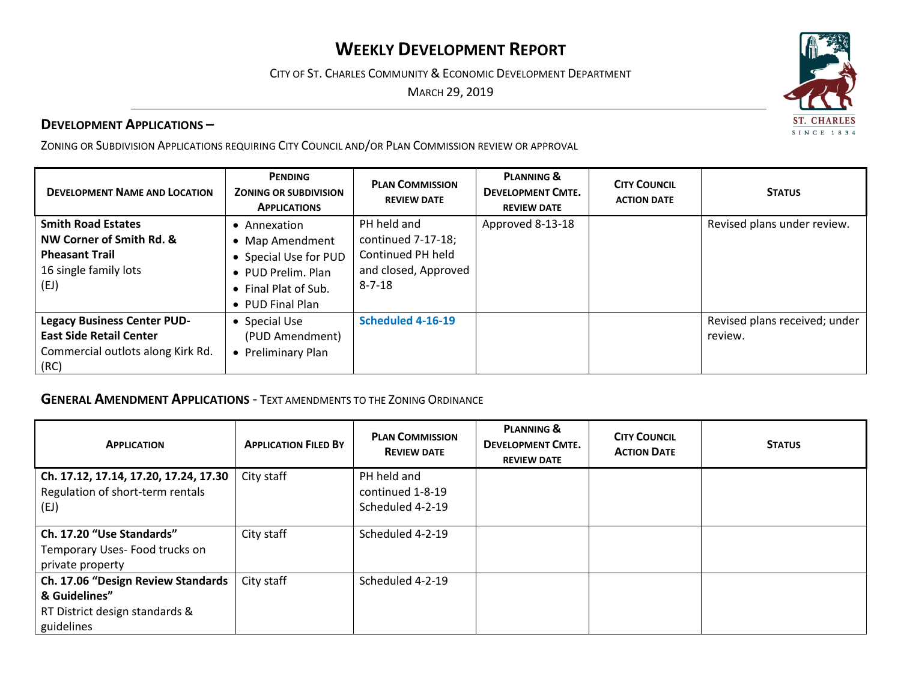# **WEEKLY DEVELOPMENT REPORT**

CITY OF ST. CHARLES COMMUNITY & ECONOMIC DEVELOPMENT DEPARTMENT

MARCH 29, 2019

### **DEVELOPMENT APPLICATIONS –**

ZONING OR SUBDIVISION APPLICATIONS REQUIRING CITY COUNCIL AND/OR PLAN COMMISSION REVIEW OR APPROVAL

| <b>DEVELOPMENT NAME AND LOCATION</b>                                                                              | <b>PENDING</b><br><b>ZONING OR SUBDIVISION</b><br><b>APPLICATIONS</b>                                                    | <b>PLAN COMMISSION</b><br><b>REVIEW DATE</b>                                                   | <b>PLANNING &amp;</b><br><b>DEVELOPMENT CMTE.</b><br><b>REVIEW DATE</b> | <b>CITY COUNCIL</b><br><b>ACTION DATE</b> | <b>STATUS</b>                            |
|-------------------------------------------------------------------------------------------------------------------|--------------------------------------------------------------------------------------------------------------------------|------------------------------------------------------------------------------------------------|-------------------------------------------------------------------------|-------------------------------------------|------------------------------------------|
| <b>Smith Road Estates</b><br>NW Corner of Smith Rd. &<br><b>Pheasant Trail</b><br>16 single family lots<br>(EJ)   | Annexation<br>• Map Amendment<br>• Special Use for PUD<br>• PUD Prelim. Plan<br>• Final Plat of Sub.<br>• PUD Final Plan | PH held and<br>continued 7-17-18;<br>Continued PH held<br>and closed, Approved<br>$8 - 7 - 18$ | Approved 8-13-18                                                        |                                           | Revised plans under review.              |
| <b>Legacy Business Center PUD-</b><br><b>East Side Retail Center</b><br>Commercial outlots along Kirk Rd.<br>(RC) | • Special Use<br>(PUD Amendment)<br>Preliminary Plan                                                                     | Scheduled 4-16-19                                                                              |                                                                         |                                           | Revised plans received; under<br>review. |

### **GENERAL AMENDMENT APPLICATIONS** - TEXT AMENDMENTS TO THE ZONING ORDINANCE

| <b>APPLICATION</b>                    | <b>APPLICATION FILED BY</b> | <b>PLAN COMMISSION</b><br><b>REVIEW DATE</b> | <b>PLANNING &amp;</b><br><b>DEVELOPMENT CMTE.</b><br><b>REVIEW DATE</b> | <b>CITY COUNCIL</b><br><b>ACTION DATE</b> | <b>STATUS</b> |
|---------------------------------------|-----------------------------|----------------------------------------------|-------------------------------------------------------------------------|-------------------------------------------|---------------|
| Ch. 17.12, 17.14, 17.20, 17.24, 17.30 | City staff                  | PH held and                                  |                                                                         |                                           |               |
| Regulation of short-term rentals      |                             | continued 1-8-19                             |                                                                         |                                           |               |
| (EJ)                                  |                             | Scheduled 4-2-19                             |                                                                         |                                           |               |
| Ch. 17.20 "Use Standards"             | City staff                  | Scheduled 4-2-19                             |                                                                         |                                           |               |
| Temporary Uses-Food trucks on         |                             |                                              |                                                                         |                                           |               |
| private property                      |                             |                                              |                                                                         |                                           |               |
| Ch. 17.06 "Design Review Standards    | City staff                  | Scheduled 4-2-19                             |                                                                         |                                           |               |
| & Guidelines"                         |                             |                                              |                                                                         |                                           |               |
| RT District design standards &        |                             |                                              |                                                                         |                                           |               |
| guidelines                            |                             |                                              |                                                                         |                                           |               |

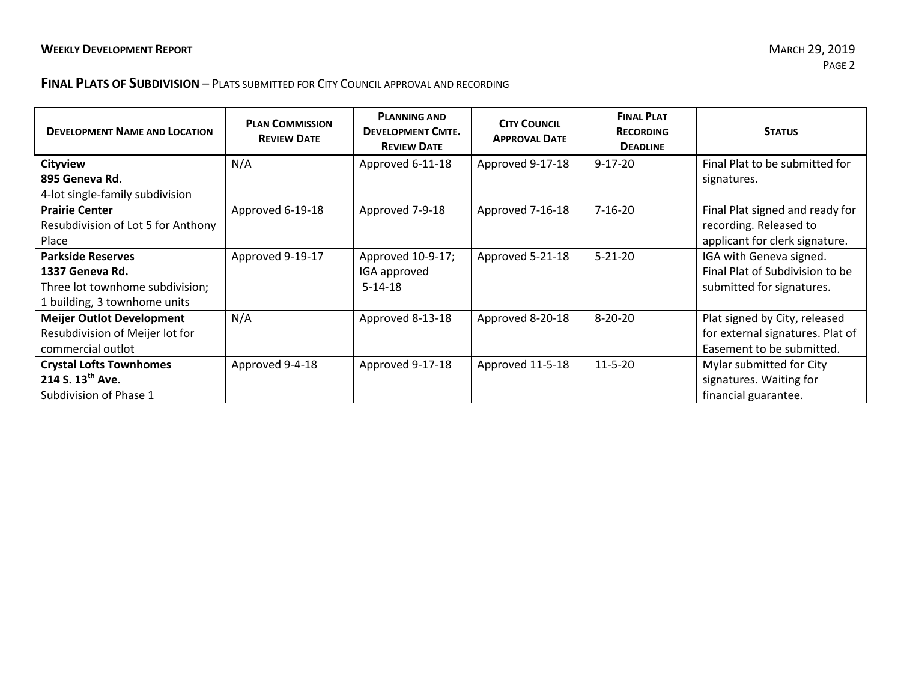## **FINAL PLATS OF SUBDIVISION** – PLATS SUBMITTED FOR CITY COUNCIL APPROVAL AND RECORDING

| <b>DEVELOPMENT NAME AND LOCATION</b> | <b>PLAN COMMISSION</b><br><b>REVIEW DATE</b> | <b>PLANNING AND</b><br><b>DEVELOPMENT CMTE.</b><br><b>REVIEW DATE</b> | <b>CITY COUNCIL</b><br><b>APPROVAL DATE</b> | <b>FINAL PLAT</b><br><b>RECORDING</b><br><b>DEADLINE</b> | <b>STATUS</b>                    |
|--------------------------------------|----------------------------------------------|-----------------------------------------------------------------------|---------------------------------------------|----------------------------------------------------------|----------------------------------|
| <b>Cityview</b>                      | N/A                                          | Approved 6-11-18                                                      | Approved 9-17-18                            | $9 - 17 - 20$                                            | Final Plat to be submitted for   |
| 895 Geneva Rd.                       |                                              |                                                                       |                                             |                                                          | signatures.                      |
| 4-lot single-family subdivision      |                                              |                                                                       |                                             |                                                          |                                  |
| <b>Prairie Center</b>                | Approved 6-19-18                             | Approved 7-9-18                                                       | Approved 7-16-18                            | $7 - 16 - 20$                                            | Final Plat signed and ready for  |
| Resubdivision of Lot 5 for Anthony   |                                              |                                                                       |                                             |                                                          | recording. Released to           |
| Place                                |                                              |                                                                       |                                             |                                                          | applicant for clerk signature.   |
| <b>Parkside Reserves</b>             | Approved 9-19-17                             | Approved 10-9-17;                                                     | Approved 5-21-18                            | $5 - 21 - 20$                                            | IGA with Geneva signed.          |
| 1337 Geneva Rd.                      |                                              | IGA approved                                                          |                                             |                                                          | Final Plat of Subdivision to be  |
| Three lot townhome subdivision;      |                                              | $5 - 14 - 18$                                                         |                                             |                                                          | submitted for signatures.        |
| 1 building, 3 townhome units         |                                              |                                                                       |                                             |                                                          |                                  |
| <b>Meijer Outlot Development</b>     | N/A                                          | Approved 8-13-18                                                      | Approved 8-20-18                            | $8 - 20 - 20$                                            | Plat signed by City, released    |
| Resubdivision of Meijer lot for      |                                              |                                                                       |                                             |                                                          | for external signatures. Plat of |
| commercial outlot                    |                                              |                                                                       |                                             |                                                          | Easement to be submitted.        |
| <b>Crystal Lofts Townhomes</b>       | Approved 9-4-18                              | Approved 9-17-18                                                      | Approved 11-5-18                            | $11 - 5 - 20$                                            | Mylar submitted for City         |
| 214 S. $13^{th}$ Ave.                |                                              |                                                                       |                                             |                                                          | signatures. Waiting for          |
| Subdivision of Phase 1               |                                              |                                                                       |                                             |                                                          | financial guarantee.             |